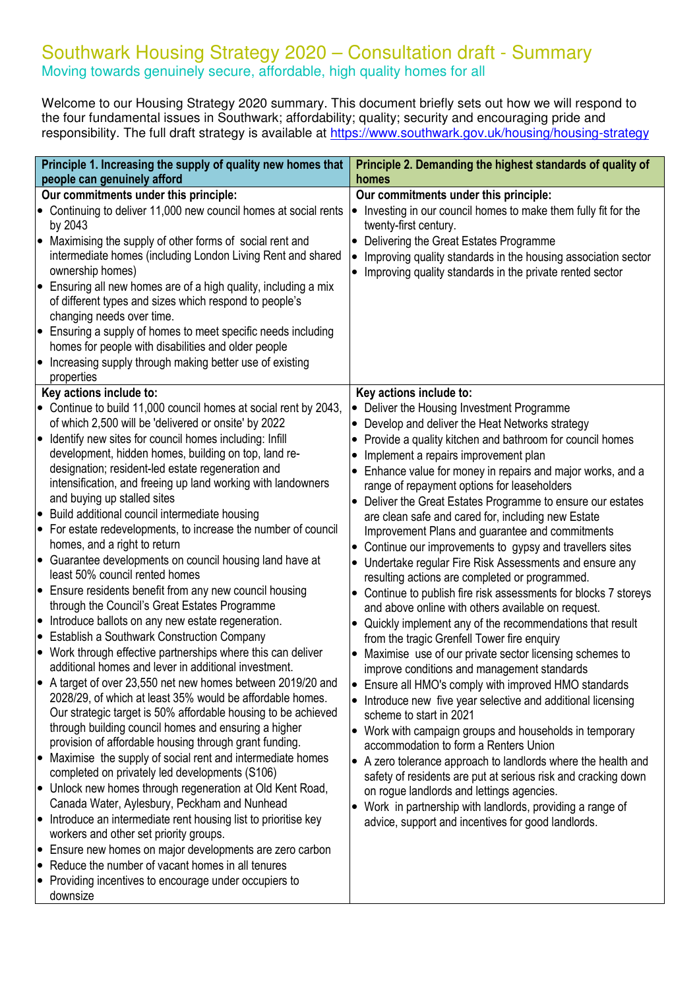## Southwark Housing Strategy 2020 – Consultation draft - Summary Moving towards genuinely secure, affordable, high quality homes for all

Welcome to our Housing Strategy 2020 summary. This document briefly sets out how we will respond to the four fundamental issues in Southwark; affordability; quality; security and encouraging pride and responsibility. The full draft strategy is available at **https://www.southwark.gov.uk/housing/housing-strategy** 

|                                                  | Principle 1. Increasing the supply of quality new homes that<br>people can genuinely afford                                                                                                                                                                                                                                                                                                                                                                                                                                                                                                                                                                                                                                                                                                                                                                                                                                                                                                                                                                                                                                                                                                                                                              | Principle 2. Demanding the highest standards of quality of<br>homes                                                                                                                                                                                                                                                                                                                                                                                                                                                                                                                                                                                                                                                                                                                                                                                                                                                                                                                                                                                                                                                                                                                           |
|--------------------------------------------------|----------------------------------------------------------------------------------------------------------------------------------------------------------------------------------------------------------------------------------------------------------------------------------------------------------------------------------------------------------------------------------------------------------------------------------------------------------------------------------------------------------------------------------------------------------------------------------------------------------------------------------------------------------------------------------------------------------------------------------------------------------------------------------------------------------------------------------------------------------------------------------------------------------------------------------------------------------------------------------------------------------------------------------------------------------------------------------------------------------------------------------------------------------------------------------------------------------------------------------------------------------|-----------------------------------------------------------------------------------------------------------------------------------------------------------------------------------------------------------------------------------------------------------------------------------------------------------------------------------------------------------------------------------------------------------------------------------------------------------------------------------------------------------------------------------------------------------------------------------------------------------------------------------------------------------------------------------------------------------------------------------------------------------------------------------------------------------------------------------------------------------------------------------------------------------------------------------------------------------------------------------------------------------------------------------------------------------------------------------------------------------------------------------------------------------------------------------------------|
|                                                  | Our commitments under this principle:                                                                                                                                                                                                                                                                                                                                                                                                                                                                                                                                                                                                                                                                                                                                                                                                                                                                                                                                                                                                                                                                                                                                                                                                                    | Our commitments under this principle:                                                                                                                                                                                                                                                                                                                                                                                                                                                                                                                                                                                                                                                                                                                                                                                                                                                                                                                                                                                                                                                                                                                                                         |
| $\bullet$<br>$\bullet$<br>$\bullet$<br>$\bullet$ | • Continuing to deliver 11,000 new council homes at social rents<br>by 2043<br>Maximising the supply of other forms of social rent and<br>intermediate homes (including London Living Rent and shared<br>ownership homes)<br>Ensuring all new homes are of a high quality, including a mix<br>of different types and sizes which respond to people's<br>changing needs over time.<br>Ensuring a supply of homes to meet specific needs including<br>homes for people with disabilities and older people<br>Increasing supply through making better use of existing                                                                                                                                                                                                                                                                                                                                                                                                                                                                                                                                                                                                                                                                                       | Investing in our council homes to make them fully fit for the<br>twenty-first century.<br>Delivering the Great Estates Programme<br>Improving quality standards in the housing association sector<br>Improving quality standards in the private rented sector                                                                                                                                                                                                                                                                                                                                                                                                                                                                                                                                                                                                                                                                                                                                                                                                                                                                                                                                 |
|                                                  | properties                                                                                                                                                                                                                                                                                                                                                                                                                                                                                                                                                                                                                                                                                                                                                                                                                                                                                                                                                                                                                                                                                                                                                                                                                                               |                                                                                                                                                                                                                                                                                                                                                                                                                                                                                                                                                                                                                                                                                                                                                                                                                                                                                                                                                                                                                                                                                                                                                                                               |
|                                                  | Key actions include to:                                                                                                                                                                                                                                                                                                                                                                                                                                                                                                                                                                                                                                                                                                                                                                                                                                                                                                                                                                                                                                                                                                                                                                                                                                  | Key actions include to:                                                                                                                                                                                                                                                                                                                                                                                                                                                                                                                                                                                                                                                                                                                                                                                                                                                                                                                                                                                                                                                                                                                                                                       |
| $\bullet$                                        | • Continue to build 11,000 council homes at social rent by 2043,<br>of which 2,500 will be 'delivered or onsite' by 2022<br>Identify new sites for council homes including: Infill<br>development, hidden homes, building on top, land re-                                                                                                                                                                                                                                                                                                                                                                                                                                                                                                                                                                                                                                                                                                                                                                                                                                                                                                                                                                                                               | Deliver the Housing Investment Programme<br>Develop and deliver the Heat Networks strategy<br>Provide a quality kitchen and bathroom for council homes<br>Implement a repairs improvement plan                                                                                                                                                                                                                                                                                                                                                                                                                                                                                                                                                                                                                                                                                                                                                                                                                                                                                                                                                                                                |
|                                                  | designation; resident-led estate regeneration and<br>intensification, and freeing up land working with landowners<br>and buying up stalled sites                                                                                                                                                                                                                                                                                                                                                                                                                                                                                                                                                                                                                                                                                                                                                                                                                                                                                                                                                                                                                                                                                                         | Enhance value for money in repairs and major works, and a<br>range of repayment options for leaseholders<br>Deliver the Great Estates Programme to ensure our estates                                                                                                                                                                                                                                                                                                                                                                                                                                                                                                                                                                                                                                                                                                                                                                                                                                                                                                                                                                                                                         |
| $\bullet$                                        | Build additional council intermediate housing                                                                                                                                                                                                                                                                                                                                                                                                                                                                                                                                                                                                                                                                                                                                                                                                                                                                                                                                                                                                                                                                                                                                                                                                            |                                                                                                                                                                                                                                                                                                                                                                                                                                                                                                                                                                                                                                                                                                                                                                                                                                                                                                                                                                                                                                                                                                                                                                                               |
| $\bullet$<br>$\bullet$<br>$\bullet$<br>$\bullet$ | For estate redevelopments, to increase the number of council<br>homes, and a right to return<br>Guarantee developments on council housing land have at<br>least 50% council rented homes<br>• Ensure residents benefit from any new council housing<br>through the Council's Great Estates Programme<br>• Introduce ballots on any new estate regeneration.<br><b>Establish a Southwark Construction Company</b><br>• Work through effective partnerships where this can deliver<br>additional homes and lever in additional investment.<br>A target of over 23,550 net new homes between 2019/20 and<br>2028/29, of which at least 35% would be affordable homes.<br>Our strategic target is 50% affordable housing to be achieved<br>through building council homes and ensuring a higher<br>provision of affordable housing through grant funding.<br>Maximise the supply of social rent and intermediate homes<br>completed on privately led developments (S106)<br>• Unlock new homes through regeneration at Old Kent Road,<br>Canada Water, Aylesbury, Peckham and Nunhead<br>Introduce an intermediate rent housing list to prioritise key<br>workers and other set priority groups.<br>• Ensure new homes on major developments are zero carbon | are clean safe and cared for, including new Estate<br>Improvement Plans and guarantee and commitments<br>Continue our improvements to gypsy and travellers sites<br>• Undertake regular Fire Risk Assessments and ensure any<br>resulting actions are completed or programmed.<br>Continue to publish fire risk assessments for blocks 7 storeys<br>and above online with others available on request.<br>Quickly implement any of the recommendations that result<br>from the tragic Grenfell Tower fire enquiry<br>Maximise use of our private sector licensing schemes to<br>improve conditions and management standards<br>Ensure all HMO's comply with improved HMO standards<br>Introduce new five year selective and additional licensing<br>scheme to start in 2021<br>• Work with campaign groups and households in temporary<br>accommodation to form a Renters Union<br>• A zero tolerance approach to landlords where the health and<br>safety of residents are put at serious risk and cracking down<br>on rogue landlords and lettings agencies.<br>Work in partnership with landlords, providing a range of<br>$\bullet$<br>advice, support and incentives for good landlords. |
|                                                  | • Reduce the number of vacant homes in all tenures<br>• Providing incentives to encourage under occupiers to<br>downsize                                                                                                                                                                                                                                                                                                                                                                                                                                                                                                                                                                                                                                                                                                                                                                                                                                                                                                                                                                                                                                                                                                                                 |                                                                                                                                                                                                                                                                                                                                                                                                                                                                                                                                                                                                                                                                                                                                                                                                                                                                                                                                                                                                                                                                                                                                                                                               |